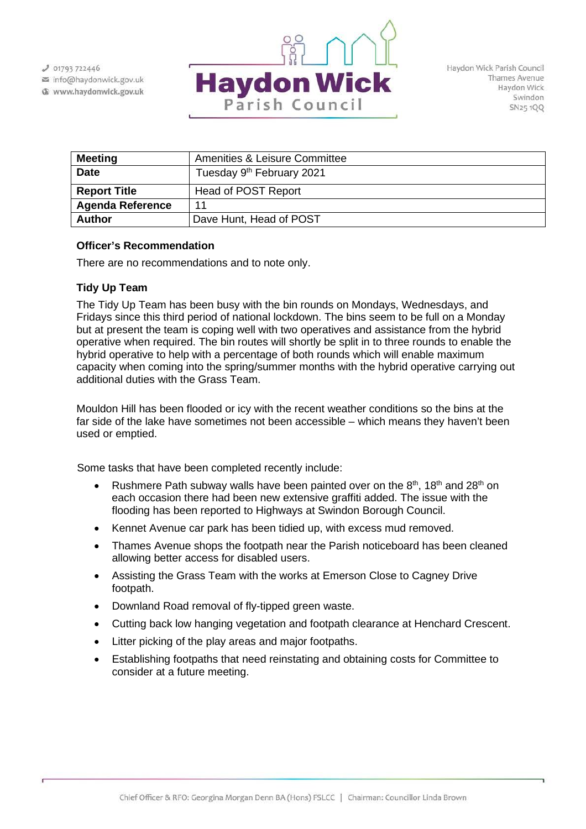$J$  01793 722446 info@haydonwick.gov.uk

Www.haydonwick.gov.uk



Haydon Wick Parish Council Thames Avenue Haydon Wick Swindon SN25 1QQ

| <b>Meeting</b>          | Amenities & Leisure Committee         |
|-------------------------|---------------------------------------|
| <b>Date</b>             | Tuesday 9 <sup>th</sup> February 2021 |
| <b>Report Title</b>     | Head of POST Report                   |
| <b>Agenda Reference</b> | 11                                    |
| <b>Author</b>           | Dave Hunt, Head of POST               |

## **Officer's Recommendation**

There are no recommendations and to note only.

## **Tidy Up Team**

The Tidy Up Team has been busy with the bin rounds on Mondays, Wednesdays, and Fridays since this third period of national lockdown. The bins seem to be full on a Monday but at present the team is coping well with two operatives and assistance from the hybrid operative when required. The bin routes will shortly be split in to three rounds to enable the hybrid operative to help with a percentage of both rounds which will enable maximum capacity when coming into the spring/summer months with the hybrid operative carrying out additional duties with the Grass Team.

Mouldon Hill has been flooded or icy with the recent weather conditions so the bins at the far side of the lake have sometimes not been accessible – which means they haven't been used or emptied.

Some tasks that have been completed recently include:

- Rushmere Path subway walls have been painted over on the  $8<sup>th</sup>$ , 18<sup>th</sup> and 28<sup>th</sup> on each occasion there had been new extensive graffiti added. The issue with the flooding has been reported to Highways at Swindon Borough Council.
- Kennet Avenue car park has been tidied up, with excess mud removed.
- Thames Avenue shops the footpath near the Parish noticeboard has been cleaned allowing better access for disabled users.
- Assisting the Grass Team with the works at Emerson Close to Cagney Drive footpath.
- Downland Road removal of fly-tipped green waste.
- Cutting back low hanging vegetation and footpath clearance at Henchard Crescent.
- Litter picking of the play areas and major footpaths.
- Establishing footpaths that need reinstating and obtaining costs for Committee to consider at a future meeting.